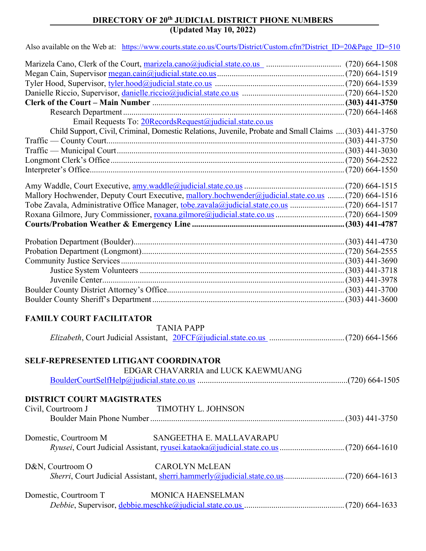## **DIRECTORY OF 20th JUDICIAL DISTRICT PHONE NUMBERS (Updated May 10, 2022)**

Also available on the Web at: [https://www.courts.state.co.us/Courts/District/Custom.cfm?District\\_ID=20&Page\\_ID=510](https://www.courts.state.co.us/Courts/District/Custom.cfm?District_ID=20&Page_ID=510)

| Email Requests To: 20RecordsRequest@judicial.state.co.us                                               |  |
|--------------------------------------------------------------------------------------------------------|--|
| Child Support, Civil, Criminal, Domestic Relations, Juvenile, Probate and Small Claims  (303) 441-3750 |  |
|                                                                                                        |  |
|                                                                                                        |  |
|                                                                                                        |  |
|                                                                                                        |  |
|                                                                                                        |  |
| Mallory Hochwender, Deputy Court Executive, mallory.hochwender@judicial.state.co.us  (720) 664-1516    |  |
|                                                                                                        |  |
|                                                                                                        |  |
|                                                                                                        |  |
|                                                                                                        |  |
|                                                                                                        |  |
|                                                                                                        |  |
|                                                                                                        |  |
|                                                                                                        |  |
|                                                                                                        |  |
|                                                                                                        |  |
|                                                                                                        |  |
|                                                                                                        |  |
| <b>FAMILY COURT FACILITATOR</b>                                                                        |  |
| <b>TANIA PAPP</b>                                                                                      |  |
|                                                                                                        |  |
|                                                                                                        |  |
| <b>SELF-REPRESENTED LITIGANT COORDINATOR</b>                                                           |  |
| EDGAR CHAVARRIA and LUCK KAEWMUANG                                                                     |  |
|                                                                                                        |  |
|                                                                                                        |  |
| <b>DISTRICT COURT MAGISTRATES</b>                                                                      |  |
| TIMOTHY L. JOHNSON<br>Civil, Courtroom J                                                               |  |
|                                                                                                        |  |
|                                                                                                        |  |
| SANGEETHA E. MALLAVARAPU<br>Domestic, Courtroom M                                                      |  |
|                                                                                                        |  |
|                                                                                                        |  |
| <b>CAROLYN McLEAN</b><br>D&N, Courtroom O                                                              |  |
|                                                                                                        |  |
| <b>MONICA HAENSELMAN</b>                                                                               |  |
| Domestic, Courtroom T                                                                                  |  |
|                                                                                                        |  |